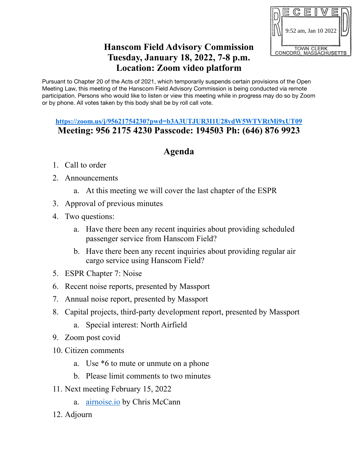

## **Hanscom Field Advisory Commission Tuesday, January 18, 2022, 7-8 p.m. Location: Zoom video platform**

Pursuant to Chapter 20 of the Acts of 2021, which temporarily suspends certain provisions of the Open Meeting Law, this meeting of the Hanscom Field Advisory Commission is being conducted via remote participation. Persons who would like to listen or view this meeting while in progress may do so by Zoom or by phone. All votes taken by this body shall be by roll call vote.

## **https://zoom.us/j/95621754230?pwd=b3A3UTJUR3I1U28ydW5WTVRtMi9xUT09 Meeting: 956 2175 4230 Passcode: 194503 Ph: (646) 876 9923**

## **Agenda**

- 1. Call to order
- 2. Announcements
	- a. At this meeting we will cover the last chapter of the ESPR
- 3. Approval of previous minutes
- 4. Two questions:
	- a. Have there been any recent inquiries about providing scheduled passenger service from Hanscom Field?
	- b. Have there been any recent inquiries about providing regular air cargo service using Hanscom Field?
- 5. ESPR Chapter 7: Noise
- 6. Recent noise reports, presented by Massport
- 7. Annual noise report, presented by Massport
- 8. Capital projects, third-party development report, presented by Massport
	- a. Special interest: North Airfield
- 9. Zoom post covid
- 10. Citizen comments
	- a. Use \*6 to mute or unmute on a phone
	- b. Please limit comments to two minutes
- 11. Next meeting February 15, 2022
	- a. [airnoise.io](http://airnoise.io) by Chris McCann
- 12. Adjourn